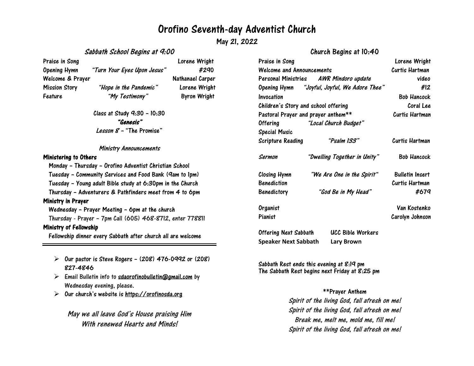# Orofino Seventh-day Adventist Church

May 21, 2022

## Sabbath School Begins at 9:00

Welcome & Prayer Nathanael Carper Mission Story "Hope in the Pandemic" Lorene Wright

Praise in Song **Lorence Wright** Opening Hymn "Turn Your Eyes Upon Jesus" #290 Feature "My Testimony" Byron Wright

> Class at Study 9:30 – 10:30 "Genesis" Lesson  $8$  - "The Promise"

#### Ministry Announcements

### Ministering to Others

Monday – Thursday – Orofino Adventist Christian School

Tuesday – Community Services and Food Bank (9am to 1pm)

Tuesday – Young adult Bible study at 6:30pm in the Church

Thursday – Adventurers & Pathfinders meet from 4 to 6pm

### Ministry in Prayer

Wednesday – Prayer Meeting – 6pm at the church Thursday - Prayer – 7pm Call (605) 468-8712, enter 778811

## Ministry of Fellowship

Fellowship dinner every Sabbath after church all are welcome

- $\triangleright$  Our pastor is Steve Rogers (208) 476-0992 or (208) 827-4846
- $\triangleright$  Email Bulletin info to [sdaorofinobulletin@gmail.com](mailto:sdaorofinobulletin@gmail.com) by Wednesday evening, please.
- $\triangleright$ Our church's website is [https://orofinosda.org](https://orofinosda.org/)

May we all leave God's House praising Him With renewed Hearts and Minds!

## Church Begins at 10:40

| Praise in Song                                                              |                                              | Lorene Wright                             |
|-----------------------------------------------------------------------------|----------------------------------------------|-------------------------------------------|
| <b>Welcome and Announcements</b>                                            |                                              | Curtis Hartman                            |
|                                                                             | Personal Ministries AWR Mindoro update       | video                                     |
|                                                                             | Opening Hymn "Joyful, Joyful, We Adore Thee" | #12                                       |
| Invocation                                                                  |                                              | <b>Bob Hancock</b>                        |
| Children's Story and school offering<br>Pastoral Prayer and prayer anthem** |                                              | <b>Coral Lee</b><br><b>Curtis Hartman</b> |
|                                                                             |                                              |                                           |
| <b>Special Music</b>                                                        |                                              |                                           |
| Scripture Reading                                                           | "Psalm 133"                                  | Curtis Hartman                            |
| Sermon                                                                      | "Dwelling Together in Unity"                 | <b>Bob Hancock</b>                        |
| <b>Closing Hymn</b>                                                         | "We Are One in the Spirit"                   | <b>Bulletin Insert</b>                    |
| <b>Benediction</b>                                                          |                                              | Curtis Hartman                            |
| <b>Benedictory</b>                                                          | "God Be in My Head"                          | #679                                      |
| Organist                                                                    |                                              | Van Kostenko                              |
| Pianist                                                                     |                                              | Carolyn Johnson                           |
| <b>Offering Next Sabbath</b>                                                | <b>UCC Bible Workers</b>                     |                                           |
| <b>Speaker Next Sabbath</b><br><b>Lary Brown</b>                            |                                              |                                           |

Sabbath Rest ends this evening at 8:19 pm The Sabbath Rest begins next Friday at 8:25 pm

#### \*\*Prayer Anthem

Spirit of the living God, fall afresh on me! Spirit of the living God, fall afresh on me! Break me, melt me, mold me, fill me! Spirit of the living God, fall afresh on me!